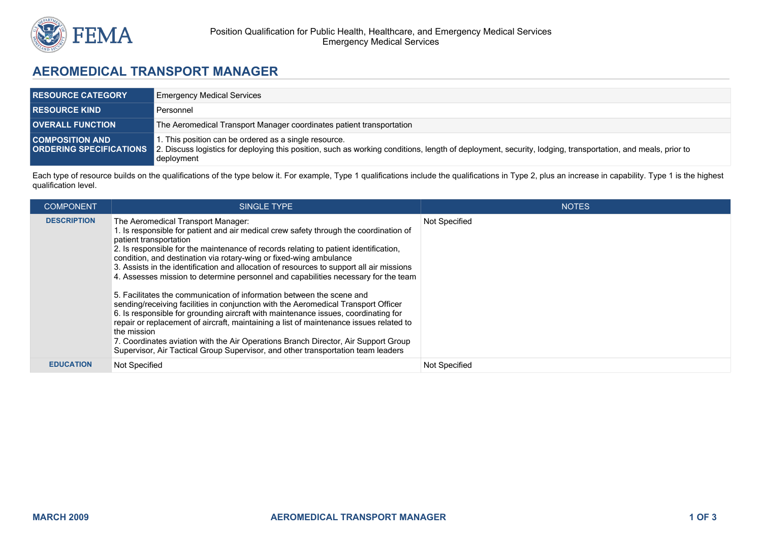

## **AEROMEDICAL TRANSPORT MANAGER**

| <b>RESOURCE CATEGORY</b> | <b>Emergency Medical Services</b>                                                                                                                                                                                                                        |  |
|--------------------------|----------------------------------------------------------------------------------------------------------------------------------------------------------------------------------------------------------------------------------------------------------|--|
| <b>RESOURCE KIND</b>     | Personnel                                                                                                                                                                                                                                                |  |
| <b>OVERALL FUNCTION</b>  | The Aeromedical Transport Manager coordinates patient transportation                                                                                                                                                                                     |  |
| <b>COMPOSITION AND</b>   | . This position can be ordered as a single resource.<br>ORDERING SPECIFICATIONS 2. Discuss logistics for deploying this position, such as working conditions, length of deployment, security, lodging, transportation, and meals, prior to<br>deployment |  |

Each type of resource builds on the qualifications of the type below it. For example, Type 1 qualifications include the qualifications in Type 2, plus an increase in capability. Type 1 is the highest qualification level.

| <b>COMPONENT</b>   | SINGLE TYPE                                                                                                                                                                                                                                                                                                                                                                                                                                                                                                                                                                                                                                                                                                                                                                                                                                                                                                                                                                                                                                  | <b>NOTES</b>         |
|--------------------|----------------------------------------------------------------------------------------------------------------------------------------------------------------------------------------------------------------------------------------------------------------------------------------------------------------------------------------------------------------------------------------------------------------------------------------------------------------------------------------------------------------------------------------------------------------------------------------------------------------------------------------------------------------------------------------------------------------------------------------------------------------------------------------------------------------------------------------------------------------------------------------------------------------------------------------------------------------------------------------------------------------------------------------------|----------------------|
| <b>DESCRIPTION</b> | The Aeromedical Transport Manager:<br>. Is responsible for patient and air medical crew safety through the coordination of<br>patient transportation<br>2. Is responsible for the maintenance of records relating to patient identification,<br>condition, and destination via rotary-wing or fixed-wing ambulance<br>3. Assists in the identification and allocation of resources to support all air missions<br>4. Assesses mission to determine personnel and capabilities necessary for the team<br>5. Facilitates the communication of information between the scene and<br>sending/receiving facilities in conjunction with the Aeromedical Transport Officer<br>6. Is responsible for grounding aircraft with maintenance issues, coordinating for<br>repair or replacement of aircraft, maintaining a list of maintenance issues related to<br>the mission<br>7. Coordinates aviation with the Air Operations Branch Director, Air Support Group<br>Supervisor, Air Tactical Group Supervisor, and other transportation team leaders | Not Specified        |
| <b>EDUCATION</b>   | Not Specified                                                                                                                                                                                                                                                                                                                                                                                                                                                                                                                                                                                                                                                                                                                                                                                                                                                                                                                                                                                                                                | <b>Not Specified</b> |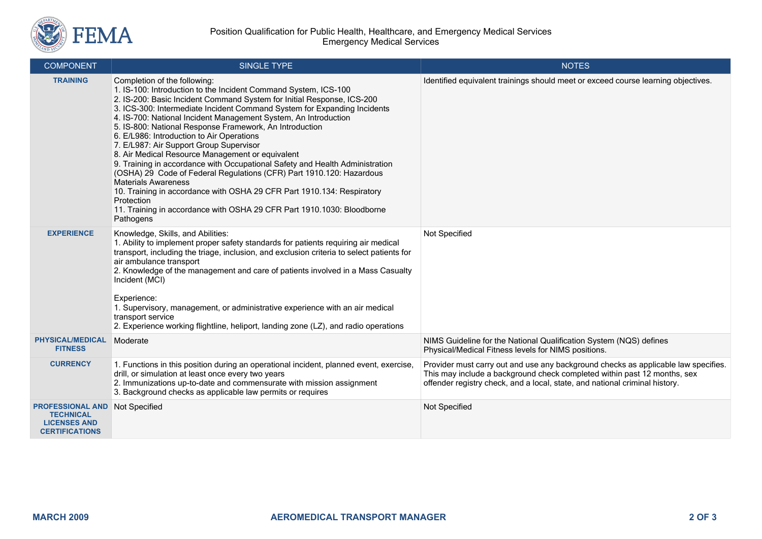

| <b>COMPONENT</b>                                                                            | <b>SINGLE TYPE</b>                                                                                                                                                                                                                                                                                                                                                                                                                                                                                                                                                                                                                                                                                                                                                                                                                                                                                   | <b>NOTES</b>                                                                                                                                                                                                                                  |
|---------------------------------------------------------------------------------------------|------------------------------------------------------------------------------------------------------------------------------------------------------------------------------------------------------------------------------------------------------------------------------------------------------------------------------------------------------------------------------------------------------------------------------------------------------------------------------------------------------------------------------------------------------------------------------------------------------------------------------------------------------------------------------------------------------------------------------------------------------------------------------------------------------------------------------------------------------------------------------------------------------|-----------------------------------------------------------------------------------------------------------------------------------------------------------------------------------------------------------------------------------------------|
| <b>TRAINING</b>                                                                             | Completion of the following:<br>1. IS-100: Introduction to the Incident Command System, ICS-100<br>2. IS-200: Basic Incident Command System for Initial Response, ICS-200<br>3. ICS-300: Intermediate Incident Command System for Expanding Incidents<br>4. IS-700: National Incident Management System, An Introduction<br>5. IS-800: National Response Framework, An Introduction<br>6. E/L986: Introduction to Air Operations<br>7. E/L987: Air Support Group Supervisor<br>8. Air Medical Resource Management or equivalent<br>9. Training in accordance with Occupational Safety and Health Administration<br>(OSHA) 29 Code of Federal Regulations (CFR) Part 1910.120: Hazardous<br><b>Materials Awareness</b><br>10. Training in accordance with OSHA 29 CFR Part 1910.134: Respiratory<br>Protection<br>11. Training in accordance with OSHA 29 CFR Part 1910.1030: Bloodborne<br>Pathogens | Identified equivalent trainings should meet or exceed course learning objectives.                                                                                                                                                             |
| <b>EXPERIENCE</b>                                                                           | Knowledge, Skills, and Abilities:<br>1. Ability to implement proper safety standards for patients requiring air medical<br>transport, including the triage, inclusion, and exclusion criteria to select patients for<br>air ambulance transport<br>2. Knowledge of the management and care of patients involved in a Mass Casualty<br>Incident (MCI)<br>Experience:<br>1. Supervisory, management, or administrative experience with an air medical<br>transport service<br>2. Experience working flightline, heliport, landing zone (LZ), and radio operations                                                                                                                                                                                                                                                                                                                                      | Not Specified                                                                                                                                                                                                                                 |
| <b>PHYSICAL/MEDICAL</b><br><b>FITNESS</b>                                                   | Moderate                                                                                                                                                                                                                                                                                                                                                                                                                                                                                                                                                                                                                                                                                                                                                                                                                                                                                             | NIMS Guideline for the National Qualification System (NQS) defines<br>Physical/Medical Fitness levels for NIMS positions.                                                                                                                     |
| <b>CURRENCY</b>                                                                             | 1. Functions in this position during an operational incident, planned event, exercise,<br>drill, or simulation at least once every two years<br>2. Immunizations up-to-date and commensurate with mission assignment<br>3. Background checks as applicable law permits or requires                                                                                                                                                                                                                                                                                                                                                                                                                                                                                                                                                                                                                   | Provider must carry out and use any background checks as applicable law specifies.<br>This may include a background check completed within past 12 months, sex<br>offender registry check, and a local, state, and national criminal history. |
| <b>PROFESSIONAL AND</b><br><b>TECHNICAL</b><br><b>LICENSES AND</b><br><b>CERTIFICATIONS</b> | Not Specified                                                                                                                                                                                                                                                                                                                                                                                                                                                                                                                                                                                                                                                                                                                                                                                                                                                                                        | Not Specified                                                                                                                                                                                                                                 |